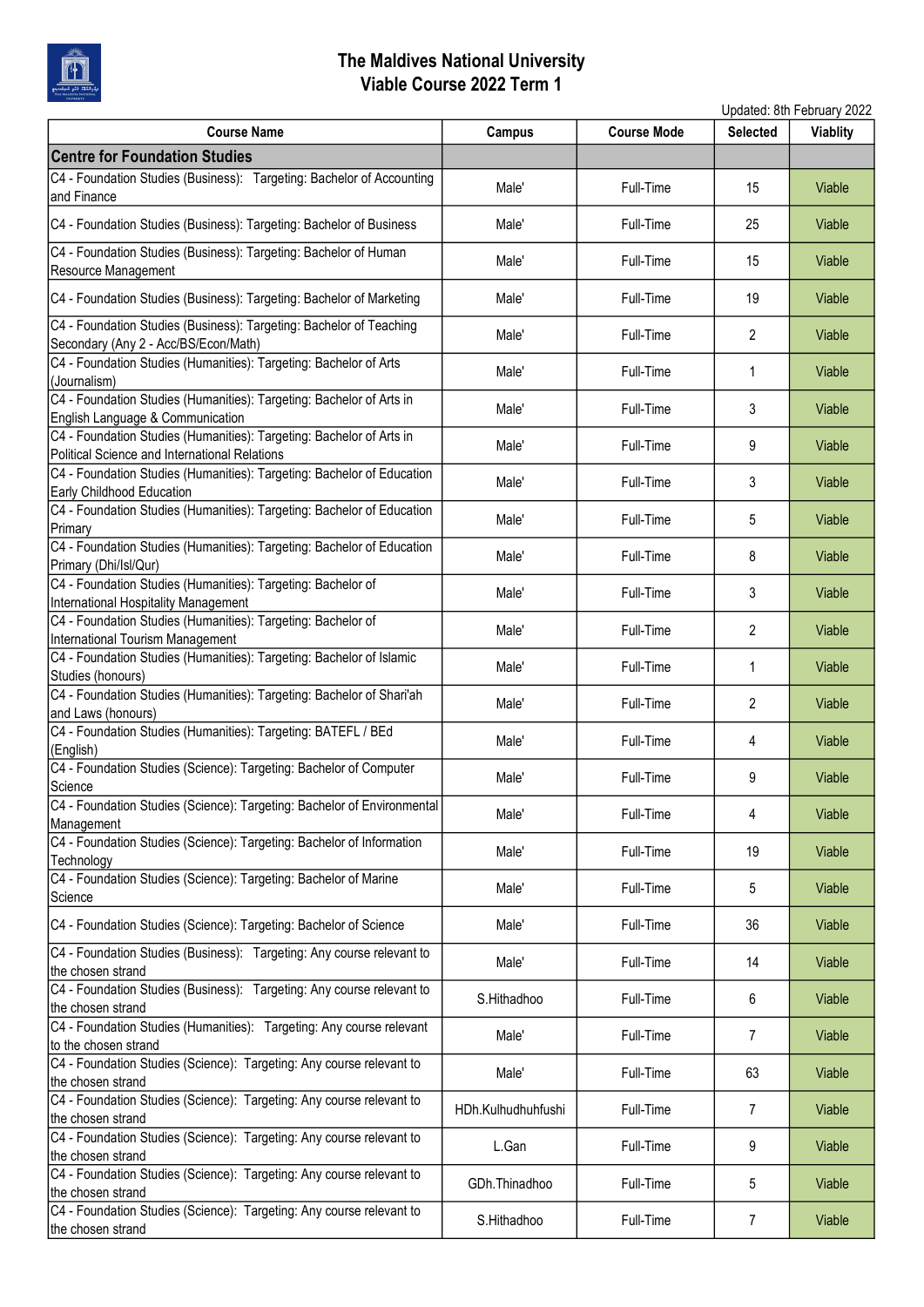

|                                                                                                                       |                    |                    |                 | Updated: 8th February 2022 |
|-----------------------------------------------------------------------------------------------------------------------|--------------------|--------------------|-----------------|----------------------------|
| <b>Course Name</b>                                                                                                    | Campus             | <b>Course Mode</b> | <b>Selected</b> | <b>Viablity</b>            |
| <b>Centre for Foundation Studies</b>                                                                                  |                    |                    |                 |                            |
| C4 - Foundation Studies (Business): Targeting: Bachelor of Accounting<br>and Finance                                  | Male'              | Full-Time          | 15              | Viable                     |
| C4 - Foundation Studies (Business): Targeting: Bachelor of Business                                                   | Male'              | Full-Time          | 25              | Viable                     |
| C4 - Foundation Studies (Business): Targeting: Bachelor of Human<br>Resource Management                               | Male'              | Full-Time          | 15              | Viable                     |
| C4 - Foundation Studies (Business): Targeting: Bachelor of Marketing                                                  | Male'              | Full-Time          | 19              | Viable                     |
| C4 - Foundation Studies (Business): Targeting: Bachelor of Teaching<br>Secondary (Any 2 - Acc/BS/Econ/Math)           | Male'              | Full-Time          | 2               | Viable                     |
| C4 - Foundation Studies (Humanities): Targeting: Bachelor of Arts<br>(Journalism)                                     | Male'              | Full-Time          | 1               | Viable                     |
| C4 - Foundation Studies (Humanities): Targeting: Bachelor of Arts in<br>English Language & Communication              | Male'              | Full-Time          | 3               | Viable                     |
| C4 - Foundation Studies (Humanities): Targeting: Bachelor of Arts in<br>Political Science and International Relations | Male'              | Full-Time          | 9               | Viable                     |
| C4 - Foundation Studies (Humanities): Targeting: Bachelor of Education<br>Early Childhood Education                   | Male'              | Full-Time          | 3               | Viable                     |
| C4 - Foundation Studies (Humanities): Targeting: Bachelor of Education<br>Primary                                     | Male'              | Full-Time          | 5               | Viable                     |
| C4 - Foundation Studies (Humanities): Targeting: Bachelor of Education<br>Primary (Dhi/Isl/Qur)                       | Male'              | Full-Time          | 8               | Viable                     |
| C4 - Foundation Studies (Humanities): Targeting: Bachelor of<br>International Hospitality Management                  | Male'              | Full-Time          | 3               | Viable                     |
| C4 - Foundation Studies (Humanities): Targeting: Bachelor of<br>International Tourism Management                      | Male'              | Full-Time          | 2               | Viable                     |
| C4 - Foundation Studies (Humanities): Targeting: Bachelor of Islamic<br>Studies (honours)                             | Male'              | Full-Time          | 1               | Viable                     |
| C4 - Foundation Studies (Humanities): Targeting: Bachelor of Shari'ah<br>and Laws (honours)                           | Male'              | Full-Time          | $\overline{2}$  | Viable                     |
| C4 - Foundation Studies (Humanities): Targeting: BATEFL / BEd<br>(English)                                            | Male'              | Full-Time          | 4               | Viable                     |
| C4 - Foundation Studies (Science): Targeting: Bachelor of Computer<br>Science                                         | Male'              | Full-Time          | 9               | Viable                     |
| C4 - Foundation Studies (Science): Targeting: Bachelor of Environmental<br>Management                                 | Male'              | Full-Time          | 4               | Viable                     |
| C4 - Foundation Studies (Science): Targeting: Bachelor of Information<br>Technology                                   | Male'              | Full-Time          | 19              | Viable                     |
| C4 - Foundation Studies (Science): Targeting: Bachelor of Marine<br>Science                                           | Male'              | Full-Time          | 5               | Viable                     |
| C4 - Foundation Studies (Science): Targeting: Bachelor of Science                                                     | Male'              | Full-Time          | 36              | Viable                     |
| C4 - Foundation Studies (Business): Targeting: Any course relevant to<br>the chosen strand                            | Male'              | Full-Time          | 14              | Viable                     |
| C4 - Foundation Studies (Business): Targeting: Any course relevant to<br>the chosen strand                            | S.Hithadhoo        | Full-Time          | 6               | Viable                     |
| C4 - Foundation Studies (Humanities): Targeting: Any course relevant<br>to the chosen strand                          | Male'              | Full-Time          | $\overline{7}$  | Viable                     |
| C4 - Foundation Studies (Science): Targeting: Any course relevant to<br>the chosen strand                             | Male'              | Full-Time          | 63              | Viable                     |
| C4 - Foundation Studies (Science): Targeting: Any course relevant to<br>the chosen strand                             | HDh.Kulhudhuhfushi | Full-Time          | 7               | Viable                     |
| C4 - Foundation Studies (Science): Targeting: Any course relevant to<br>the chosen strand                             | L.Gan              | Full-Time          | 9               | Viable                     |
| C4 - Foundation Studies (Science): Targeting: Any course relevant to<br>the chosen strand                             | GDh.Thinadhoo      | Full-Time          | 5               | Viable                     |
| C4 - Foundation Studies (Science): Targeting: Any course relevant to<br>the chosen strand                             | S.Hithadhoo        | Full-Time          | 7               | Viable                     |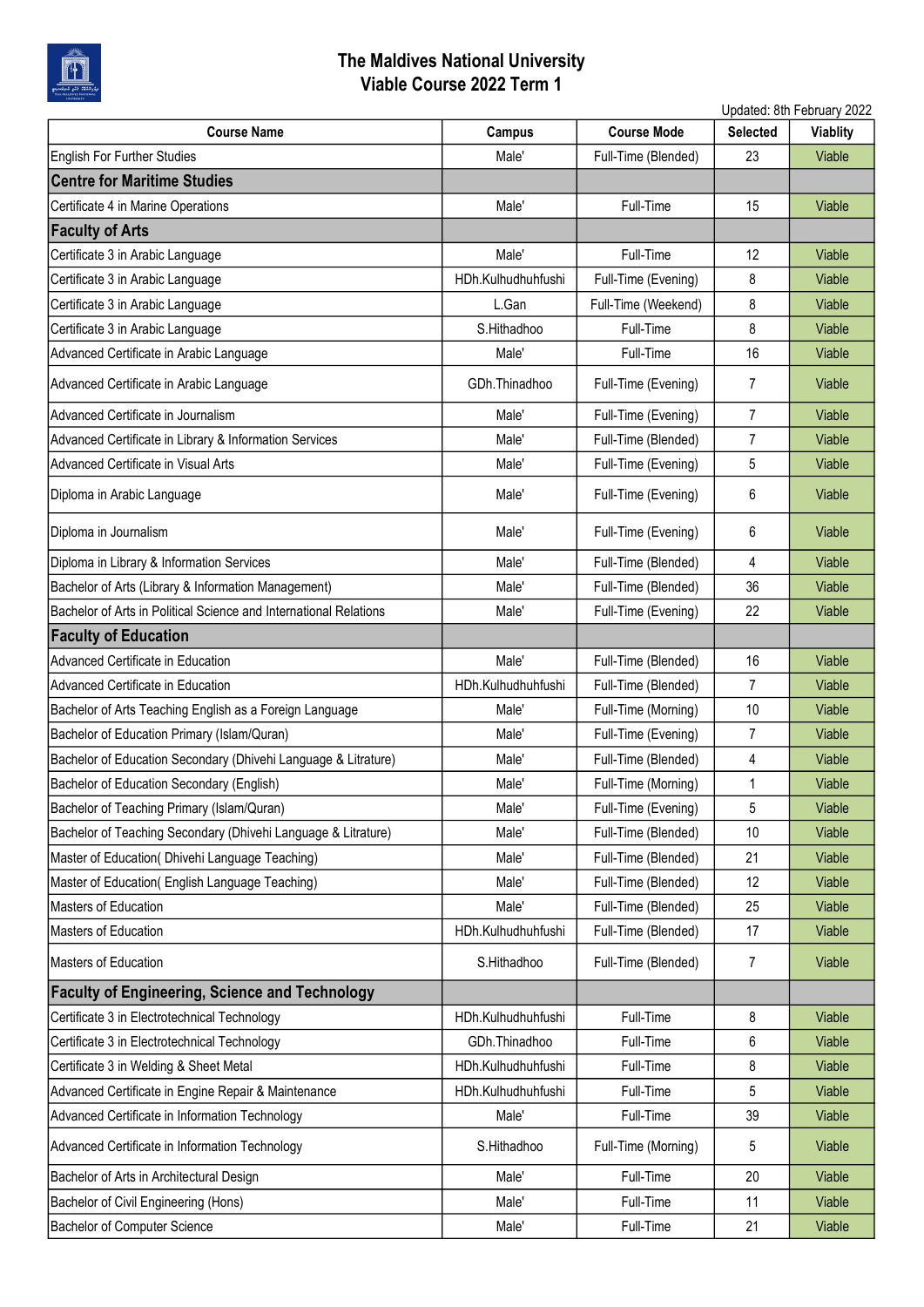

| Updated: 8th February 2022                                        |                    |                     |                 |          |
|-------------------------------------------------------------------|--------------------|---------------------|-----------------|----------|
| <b>Course Name</b>                                                | <b>Campus</b>      | <b>Course Mode</b>  | <b>Selected</b> | Viablity |
| English For Further Studies                                       | Male'              | Full-Time (Blended) | 23              | Viable   |
| <b>Centre for Maritime Studies</b>                                |                    |                     |                 |          |
| Certificate 4 in Marine Operations                                | Male'              | Full-Time           | 15              | Viable   |
| <b>Faculty of Arts</b>                                            |                    |                     |                 |          |
| Certificate 3 in Arabic Language                                  | Male'              | Full-Time           | 12              | Viable   |
| Certificate 3 in Arabic Language                                  | HDh.Kulhudhuhfushi | Full-Time (Evening) | 8               | Viable   |
| Certificate 3 in Arabic Language                                  | L.Gan              | Full-Time (Weekend) | 8               | Viable   |
| Certificate 3 in Arabic Language                                  | S.Hithadhoo        | Full-Time           | 8               | Viable   |
| Advanced Certificate in Arabic Language                           | Male'              | Full-Time           | 16              | Viable   |
| Advanced Certificate in Arabic Language                           | GDh.Thinadhoo      | Full-Time (Evening) | 7               | Viable   |
| Advanced Certificate in Journalism                                | Male'              | Full-Time (Evening) | $\overline{7}$  | Viable   |
| Advanced Certificate in Library & Information Services            | Male'              | Full-Time (Blended) | $\overline{7}$  | Viable   |
| Advanced Certificate in Visual Arts                               | Male'              | Full-Time (Evening) | 5               | Viable   |
| Diploma in Arabic Language                                        | Male'              | Full-Time (Evening) | 6               | Viable   |
| Diploma in Journalism                                             | Male'              | Full-Time (Evening) | 6               | Viable   |
| Diploma in Library & Information Services                         | Male'              | Full-Time (Blended) | 4               | Viable   |
| Bachelor of Arts (Library & Information Management)               | Male'              | Full-Time (Blended) | 36              | Viable   |
| Bachelor of Arts in Political Science and International Relations | Male'              | Full-Time (Evening) | 22              | Viable   |
| <b>Faculty of Education</b>                                       |                    |                     |                 |          |
| Advanced Certificate in Education                                 | Male'              | Full-Time (Blended) | 16              | Viable   |
| Advanced Certificate in Education                                 | HDh.Kulhudhuhfushi | Full-Time (Blended) | $\overline{7}$  | Viable   |
| Bachelor of Arts Teaching English as a Foreign Language           | Male'              | Full-Time (Morning) | 10              | Viable   |
| Bachelor of Education Primary (Islam/Quran)                       | Male'              | Full-Time (Evening) | 7               | Viable   |
| Bachelor of Education Secondary (Dhivehi Language & Litrature)    | Male'              | Full-Time (Blended) | 4               | Viable   |
| Bachelor of Education Secondary (English)                         | Male'              | Full-Time (Morning) | 1               | Viable   |
| Bachelor of Teaching Primary (Islam/Quran)                        | Male'              | Full-Time (Evening) | 5               | Viable   |
| Bachelor of Teaching Secondary (Dhivehi Language & Litrature)     | Male'              | Full-Time (Blended) | 10              | Viable   |
| Master of Education( Dhivehi Language Teaching)                   | Male'              | Full-Time (Blended) | 21              | Viable   |
| Master of Education( English Language Teaching)                   | Male'              | Full-Time (Blended) | 12              | Viable   |
| Masters of Education                                              | Male'              | Full-Time (Blended) | 25              | Viable   |
| Masters of Education                                              | HDh.Kulhudhuhfushi | Full-Time (Blended) | 17              | Viable   |
| <b>Masters of Education</b>                                       | S.Hithadhoo        | Full-Time (Blended) | 7               | Viable   |
| <b>Faculty of Engineering, Science and Technology</b>             |                    |                     |                 |          |
| Certificate 3 in Electrotechnical Technology                      | HDh.Kulhudhuhfushi | Full-Time           | 8               | Viable   |
| Certificate 3 in Electrotechnical Technology                      | GDh.Thinadhoo      | Full-Time           | 6               | Viable   |
| Certificate 3 in Welding & Sheet Metal                            | HDh.Kulhudhuhfushi | Full-Time           | 8               | Viable   |
| Advanced Certificate in Engine Repair & Maintenance               | HDh.Kulhudhuhfushi | Full-Time           | 5               | Viable   |
| Advanced Certificate in Information Technology                    | Male'              | Full-Time           | 39              | Viable   |
| Advanced Certificate in Information Technology                    | S.Hithadhoo        | Full-Time (Morning) | 5               | Viable   |
| Bachelor of Arts in Architectural Design                          | Male'              | Full-Time           | 20              | Viable   |
| Bachelor of Civil Engineering (Hons)                              | Male'              | Full-Time           | 11              | Viable   |
| Bachelor of Computer Science                                      | Male'              | Full-Time           | 21              | Viable   |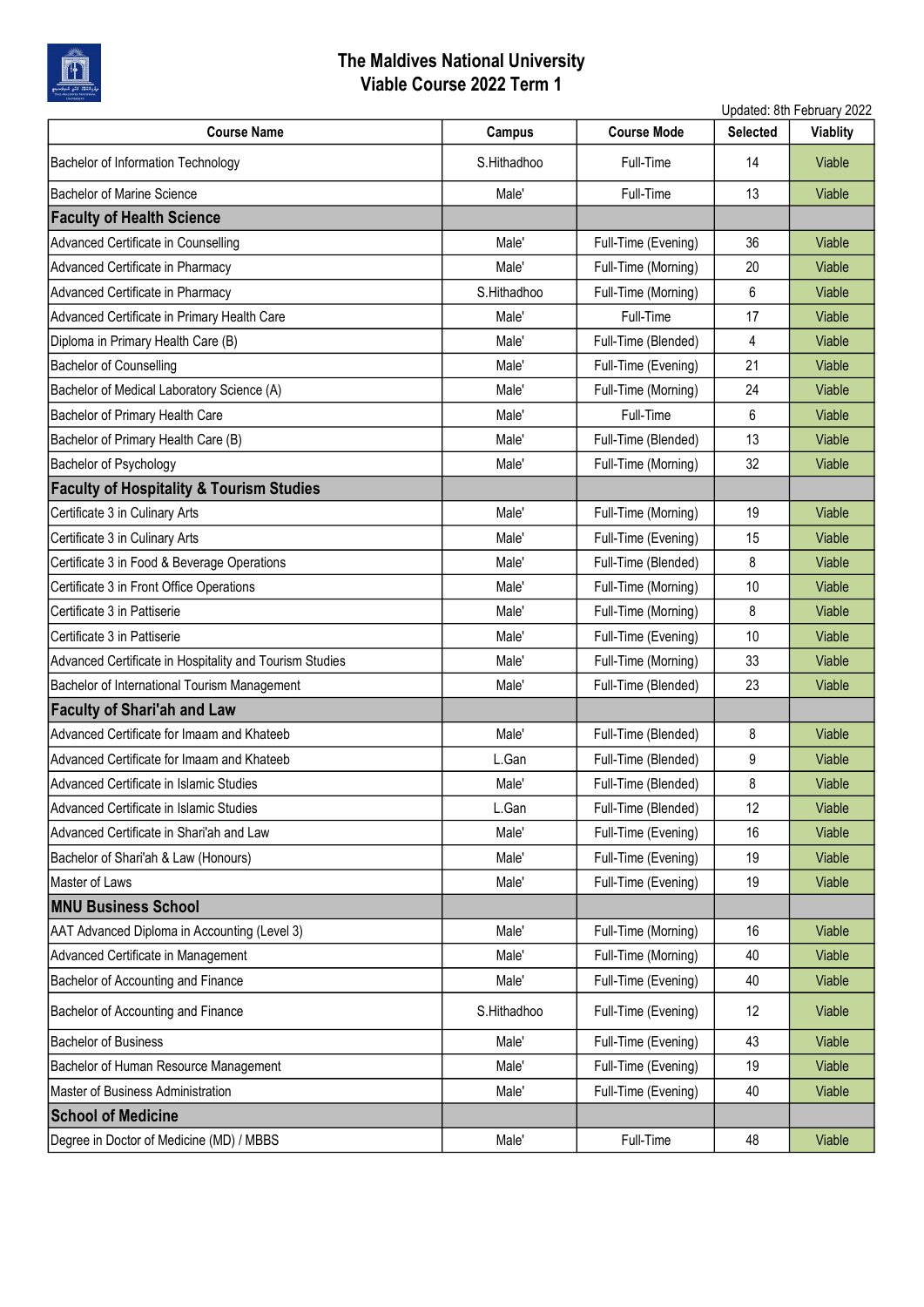

|                                                         | Updated: 8th February 2022 |                     |                 |                 |
|---------------------------------------------------------|----------------------------|---------------------|-----------------|-----------------|
| <b>Course Name</b>                                      | <b>Campus</b>              | <b>Course Mode</b>  | <b>Selected</b> | <b>Viablity</b> |
| Bachelor of Information Technology                      | S.Hithadhoo                | Full-Time           | 14              | Viable          |
| <b>Bachelor of Marine Science</b>                       | Male'                      | Full-Time           | 13              | Viable          |
| <b>Faculty of Health Science</b>                        |                            |                     |                 |                 |
| Advanced Certificate in Counselling                     | Male'                      | Full-Time (Evening) | 36              | Viable          |
| Advanced Certificate in Pharmacy                        | Male'                      | Full-Time (Morning) | 20              | Viable          |
| Advanced Certificate in Pharmacy                        | S.Hithadhoo                | Full-Time (Morning) | 6               | Viable          |
| Advanced Certificate in Primary Health Care             | Male'                      | Full-Time           | 17              | Viable          |
| Diploma in Primary Health Care (B)                      | Male'                      | Full-Time (Blended) | 4               | Viable          |
| <b>Bachelor of Counselling</b>                          | Male'                      | Full-Time (Evening) | 21              | Viable          |
| Bachelor of Medical Laboratory Science (A)              | Male'                      | Full-Time (Morning) | 24              | Viable          |
| Bachelor of Primary Health Care                         | Male'                      | Full-Time           | 6               | Viable          |
| Bachelor of Primary Health Care (B)                     | Male'                      | Full-Time (Blended) | 13              | Viable          |
| Bachelor of Psychology                                  | Male'                      | Full-Time (Morning) | 32              | Viable          |
| <b>Faculty of Hospitality &amp; Tourism Studies</b>     |                            |                     |                 |                 |
| Certificate 3 in Culinary Arts                          | Male'                      | Full-Time (Morning) | 19              | Viable          |
| Certificate 3 in Culinary Arts                          | Male'                      | Full-Time (Evening) | 15              | Viable          |
| Certificate 3 in Food & Beverage Operations             | Male'                      | Full-Time (Blended) | 8               | Viable          |
| Certificate 3 in Front Office Operations                | Male'                      | Full-Time (Morning) | 10              | Viable          |
| Certificate 3 in Pattiserie                             | Male'                      | Full-Time (Morning) | 8               | Viable          |
| Certificate 3 in Pattiserie                             | Male'                      | Full-Time (Evening) | 10              | Viable          |
| Advanced Certificate in Hospitality and Tourism Studies | Male'                      | Full-Time (Morning) | 33              | Viable          |
| Bachelor of International Tourism Management            | Male'                      | Full-Time (Blended) | 23              | Viable          |
| <b>Faculty of Shari'ah and Law</b>                      |                            |                     |                 |                 |
| Advanced Certificate for Imaam and Khateeb              | Male'                      | Full-Time (Blended) | 8               | Viable          |
| Advanced Certificate for Imaam and Khateeb              | L.Gan                      | Full-Time (Blended) | 9               | Viable          |
| Advanced Certificate in Islamic Studies                 | Male'                      | Full-Time (Blended) | 8               | Viable          |
| Advanced Certificate in Islamic Studies                 | L.Gan                      | Full-Time (Blended) | 12              | Viable          |
| Advanced Certificate in Shari'ah and Law                | Male'                      | Full-Time (Evening) | 16              | Viable          |
| Bachelor of Shari'ah & Law (Honours)                    | Male'                      | Full-Time (Evening) | 19              | Viable          |
| Master of Laws                                          | Male'                      | Full-Time (Evening) | 19              | Viable          |
| <b>MNU Business School</b>                              |                            |                     |                 |                 |
| AAT Advanced Diploma in Accounting (Level 3)            | Male'                      | Full-Time (Morning) | 16              | Viable          |
| Advanced Certificate in Management                      | Male'                      | Full-Time (Morning) | 40              | Viable          |
| Bachelor of Accounting and Finance                      | Male'                      | Full-Time (Evening) | 40              | Viable          |
| Bachelor of Accounting and Finance                      | S.Hithadhoo                | Full-Time (Evening) | 12              | Viable          |
| <b>Bachelor of Business</b>                             | Male'                      | Full-Time (Evening) | 43              | Viable          |
| Bachelor of Human Resource Management                   | Male'                      | Full-Time (Evening) | 19              | Viable          |
| Master of Business Administration                       | Male'                      | Full-Time (Evening) | 40              | Viable          |
| <b>School of Medicine</b>                               |                            |                     |                 |                 |
| Degree in Doctor of Medicine (MD) / MBBS                | Male'                      | Full-Time           | 48              | Viable          |